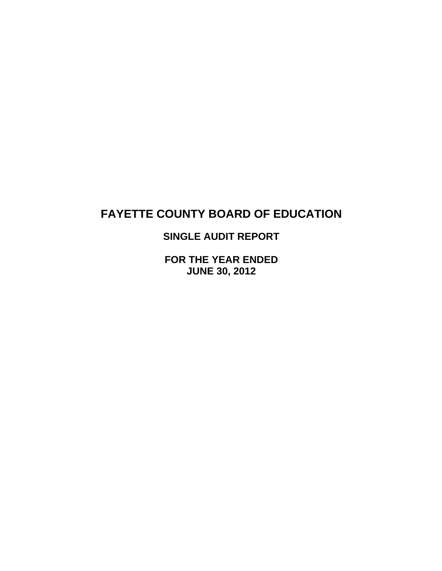**SINGLE AUDIT REPORT** 

**FOR THE YEAR ENDED JUNE 30, 2012**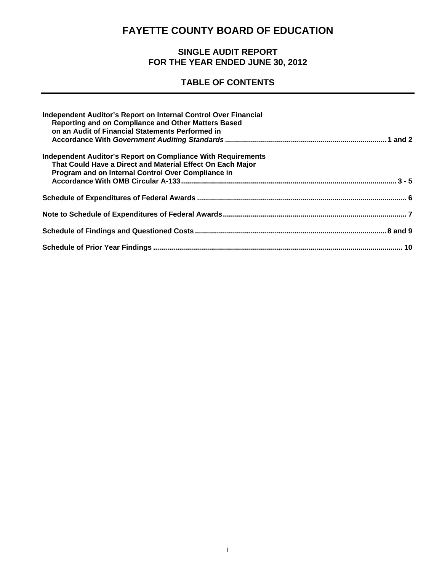### **SINGLE AUDIT REPORT FOR THE YEAR ENDED JUNE 30, 2012**

## **TABLE OF CONTENTS**

| Independent Auditor's Report on Internal Control Over Financial<br>Reporting and on Compliance and Other Matters Based<br>on an Audit of Financial Statements Performed in       |  |
|----------------------------------------------------------------------------------------------------------------------------------------------------------------------------------|--|
| Independent Auditor's Report on Compliance With Requirements<br>That Could Have a Direct and Material Effect On Each Major<br>Program and on Internal Control Over Compliance in |  |
|                                                                                                                                                                                  |  |
|                                                                                                                                                                                  |  |
|                                                                                                                                                                                  |  |
|                                                                                                                                                                                  |  |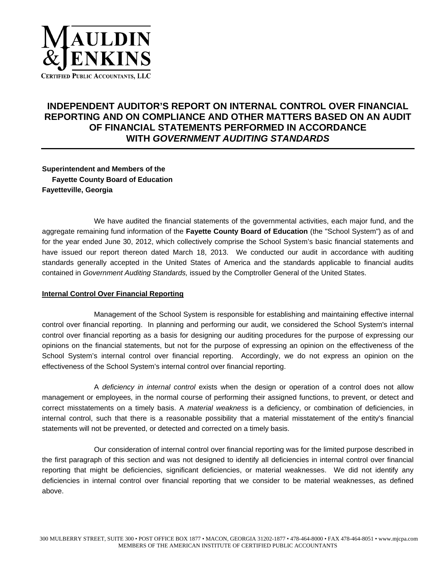

### **INDEPENDENT AUDITOR'S REPORT ON INTERNAL CONTROL OVER FINANCIAL REPORTING AND ON COMPLIANCE AND OTHER MATTERS BASED ON AN AUDIT OF FINANCIAL STATEMENTS PERFORMED IN ACCORDANCE WITH** *GOVERNMENT AUDITING STANDARDS*

**Superintendent and Members of the Fayette County Board of Education Fayetteville, Georgia** 

 We have audited the financial statements of the governmental activities, each major fund, and the aggregate remaining fund information of the **Fayette County Board of Education** (the "School System") as of and for the year ended June 30, 2012, which collectively comprise the School System's basic financial statements and have issued our report thereon dated March 18, 2013. We conducted our audit in accordance with auditing standards generally accepted in the United States of America and the standards applicable to financial audits contained in *Government Auditing Standards,* issued by the Comptroller General of the United States.

#### **Internal Control Over Financial Reporting**

 Management of the School System is responsible for establishing and maintaining effective internal control over financial reporting. In planning and performing our audit, we considered the School System's internal control over financial reporting as a basis for designing our auditing procedures for the purpose of expressing our opinions on the financial statements, but not for the purpose of expressing an opinion on the effectiveness of the School System's internal control over financial reporting. Accordingly, we do not express an opinion on the effectiveness of the School System's internal control over financial reporting.

 A *deficiency in internal control* exists when the design or operation of a control does not allow management or employees, in the normal course of performing their assigned functions, to prevent, or detect and correct misstatements on a timely basis. A *material weakness* is a deficiency, or combination of deficiencies, in internal control, such that there is a reasonable possibility that a material misstatement of the entity's financial statements will not be prevented, or detected and corrected on a timely basis.

 Our consideration of internal control over financial reporting was for the limited purpose described in the first paragraph of this section and was not designed to identify all deficiencies in internal control over financial reporting that might be deficiencies, significant deficiencies, or material weaknesses. We did not identify any deficiencies in internal control over financial reporting that we consider to be material weaknesses, as defined above.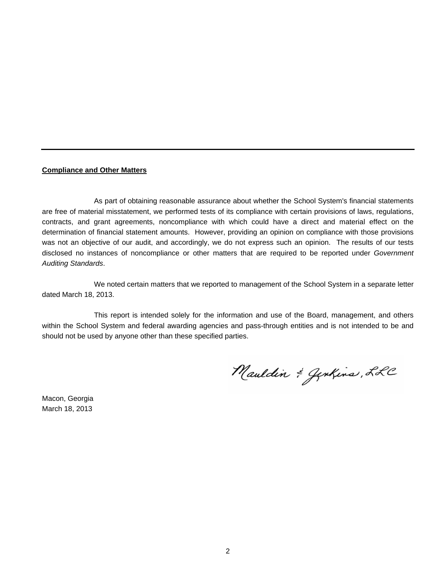#### **Compliance and Other Matters**

 As part of obtaining reasonable assurance about whether the School System's financial statements are free of material misstatement, we performed tests of its compliance with certain provisions of laws, regulations, contracts, and grant agreements, noncompliance with which could have a direct and material effect on the determination of financial statement amounts. However, providing an opinion on compliance with those provisions was not an objective of our audit, and accordingly, we do not express such an opinion. The results of our tests disclosed no instances of noncompliance or other matters that are required to be reported under *Government Auditing Standards*.

 We noted certain matters that we reported to management of the School System in a separate letter dated March 18, 2013.

 This report is intended solely for the information and use of the Board, management, and others within the School System and federal awarding agencies and pass-through entities and is not intended to be and should not be used by anyone other than these specified parties.

Mauldin & Genkins, LLC

Macon, Georgia March 18, 2013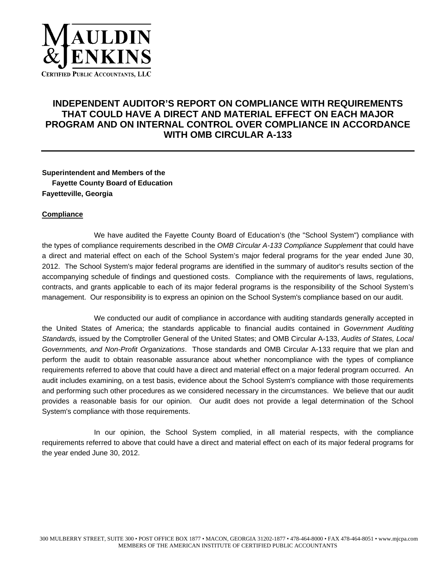

### **INDEPENDENT AUDITOR'S REPORT ON COMPLIANCE WITH REQUIREMENTS THAT COULD HAVE A DIRECT AND MATERIAL EFFECT ON EACH MAJOR PROGRAM AND ON INTERNAL CONTROL OVER COMPLIANCE IN ACCORDANCE WITH OMB CIRCULAR A-133**

**Superintendent and Members of the Fayette County Board of Education Fayetteville, Georgia** 

#### **Compliance**

 We have audited the Fayette County Board of Education's (the "School System") compliance with the types of compliance requirements described in the *OMB Circular A-133 Compliance Supplement* that could have a direct and material effect on each of the School System's major federal programs for the year ended June 30, 2012. The School System's major federal programs are identified in the summary of auditor's results section of the accompanying schedule of findings and questioned costs. Compliance with the requirements of laws, regulations, contracts, and grants applicable to each of its major federal programs is the responsibility of the School System's management. Our responsibility is to express an opinion on the School System's compliance based on our audit.

 We conducted our audit of compliance in accordance with auditing standards generally accepted in the United States of America; the standards applicable to financial audits contained in *Government Auditing Standards,* issued by the Comptroller General of the United States; and OMB Circular A-133, *Audits of States, Local Governments, and Non-Profit Organizations*. Those standards and OMB Circular A-133 require that we plan and perform the audit to obtain reasonable assurance about whether noncompliance with the types of compliance requirements referred to above that could have a direct and material effect on a major federal program occurred. An audit includes examining, on a test basis, evidence about the School System's compliance with those requirements and performing such other procedures as we considered necessary in the circumstances. We believe that our audit provides a reasonable basis for our opinion. Our audit does not provide a legal determination of the School System's compliance with those requirements.

 In our opinion, the School System complied, in all material respects, with the compliance requirements referred to above that could have a direct and material effect on each of its major federal programs for the year ended June 30, 2012.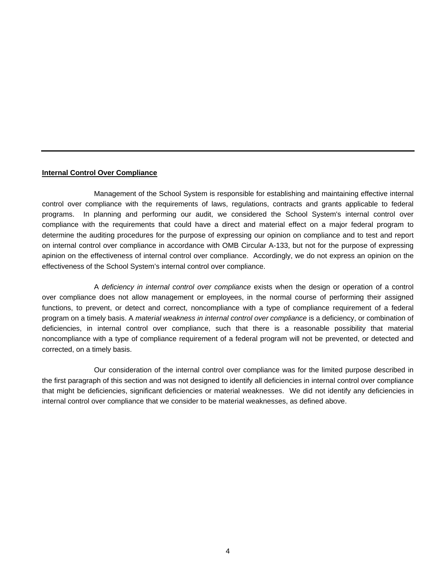#### **Internal Control Over Compliance**

 Management of the School System is responsible for establishing and maintaining effective internal control over compliance with the requirements of laws, regulations, contracts and grants applicable to federal programs. In planning and performing our audit, we considered the School System's internal control over compliance with the requirements that could have a direct and material effect on a major federal program to determine the auditing procedures for the purpose of expressing our opinion on compliance and to test and report on internal control over compliance in accordance with OMB Circular A-133, but not for the purpose of expressing apinion on the effectiveness of internal control over compliance. Accordingly, we do not express an opinion on the effectiveness of the School System's internal control over compliance.

 A *deficiency in internal control over compliance* exists when the design or operation of a control over compliance does not allow management or employees, in the normal course of performing their assigned functions, to prevent, or detect and correct, noncompliance with a type of compliance requirement of a federal program on a timely basis. A *material weakness in internal control over compliance* is a deficiency, or combination of deficiencies, in internal control over compliance, such that there is a reasonable possibility that material noncompliance with a type of compliance requirement of a federal program will not be prevented, or detected and corrected, on a timely basis.

 Our consideration of the internal control over compliance was for the limited purpose described in the first paragraph of this section and was not designed to identify all deficiencies in internal control over compliance that might be deficiencies, significant deficiencies or material weaknesses. We did not identify any deficiencies in internal control over compliance that we consider to be material weaknesses, as defined above.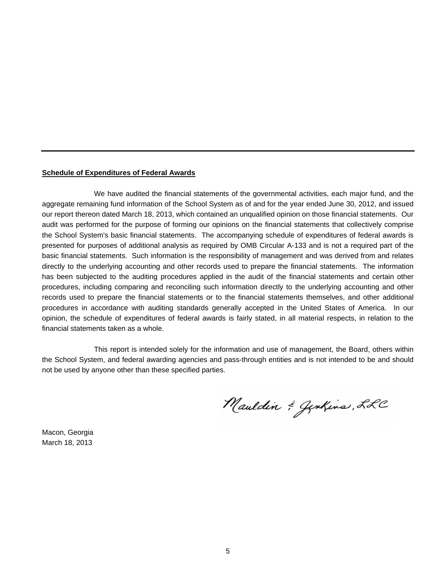#### **Schedule of Expenditures of Federal Awards**

 We have audited the financial statements of the governmental activities, each major fund, and the aggregate remaining fund information of the School System as of and for the year ended June 30, 2012, and issued our report thereon dated March 18, 2013, which contained an unqualified opinion on those financial statements. Our audit was performed for the purpose of forming our opinions on the financial statements that collectively comprise the School System's basic financial statements. The accompanying schedule of expenditures of federal awards is presented for purposes of additional analysis as required by OMB Circular A-133 and is not a required part of the basic financial statements. Such information is the responsibility of management and was derived from and relates directly to the underlying accounting and other records used to prepare the financial statements. The information has been subjected to the auditing procedures applied in the audit of the financial statements and certain other procedures, including comparing and reconciling such information directly to the underlying accounting and other records used to prepare the financial statements or to the financial statements themselves, and other additional procedures in accordance with auditing standards generally accepted in the United States of America. In our opinion, the schedule of expenditures of federal awards is fairly stated, in all material respects, in relation to the financial statements taken as a whole.

 This report is intended solely for the information and use of management, the Board, others within the School System, and federal awarding agencies and pass-through entities and is not intended to be and should not be used by anyone other than these specified parties.

Mauldin & Genkins, LLC

Macon, Georgia March 18, 2013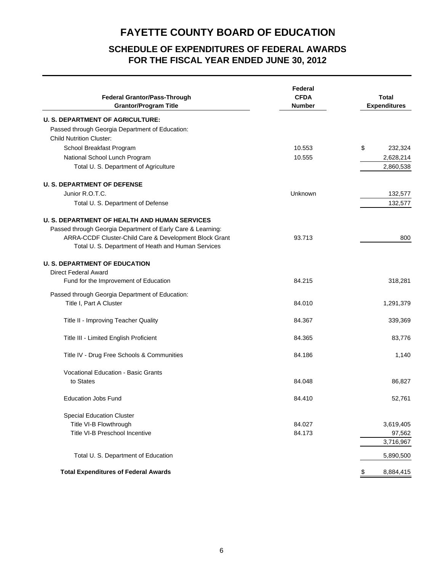### **SCHEDULE OF EXPENDITURES OF FEDERAL AWARDS FOR THE FISCAL YEAR ENDED JUNE 30, 2012**

| <b>Federal Grantor/Pass-Through</b><br><b>Grantor/Program Title</b> | Federal<br><b>CFDA</b><br><b>Number</b> | <b>Total</b><br><b>Expenditures</b> |
|---------------------------------------------------------------------|-----------------------------------------|-------------------------------------|
| <b>U. S. DEPARTMENT OF AGRICULTURE:</b>                             |                                         |                                     |
| Passed through Georgia Department of Education:                     |                                         |                                     |
| <b>Child Nutrition Cluster:</b>                                     |                                         |                                     |
| School Breakfast Program                                            | 10.553                                  | \$<br>232,324                       |
| National School Lunch Program                                       | 10.555                                  | 2,628,214                           |
| Total U. S. Department of Agriculture                               |                                         | 2,860,538                           |
| <b>U. S. DEPARTMENT OF DEFENSE</b>                                  |                                         |                                     |
| Junior R.O.T.C.                                                     | Unknown                                 | 132,577                             |
| Total U. S. Department of Defense                                   |                                         | 132,577                             |
| <b>U. S. DEPARTMENT OF HEALTH AND HUMAN SERVICES</b>                |                                         |                                     |
| Passed through Georgia Department of Early Care & Learning:         |                                         |                                     |
| ARRA-CCDF Cluster-Child Care & Development Block Grant              | 93.713                                  | 800                                 |
| Total U. S. Department of Heath and Human Services                  |                                         |                                     |
| <b>U. S. DEPARTMENT OF EDUCATION</b>                                |                                         |                                     |
| <b>Direct Federal Award</b>                                         |                                         |                                     |
| Fund for the Improvement of Education                               | 84.215                                  | 318,281                             |
| Passed through Georgia Department of Education:                     |                                         |                                     |
| Title I, Part A Cluster                                             | 84.010                                  | 1,291,379                           |
| Title II - Improving Teacher Quality                                | 84.367                                  | 339,369                             |
|                                                                     | 84.365                                  |                                     |
| Title III - Limited English Proficient                              |                                         | 83,776                              |
| Title IV - Drug Free Schools & Communities                          | 84.186                                  | 1,140                               |
| <b>Vocational Education - Basic Grants</b>                          |                                         |                                     |
| to States                                                           | 84.048                                  | 86,827                              |
| <b>Education Jobs Fund</b>                                          | 84.410                                  | 52,761                              |
| <b>Special Education Cluster</b>                                    |                                         |                                     |
| Title VI-B Flowthrough                                              | 84.027                                  | 3,619,405                           |
| Title VI-B Preschool Incentive                                      | 84.173                                  | 97,562                              |
|                                                                     |                                         | 3,716,967                           |
| Total U. S. Department of Education                                 |                                         | 5,890,500                           |
| <b>Total Expenditures of Federal Awards</b>                         |                                         | 8,884,415                           |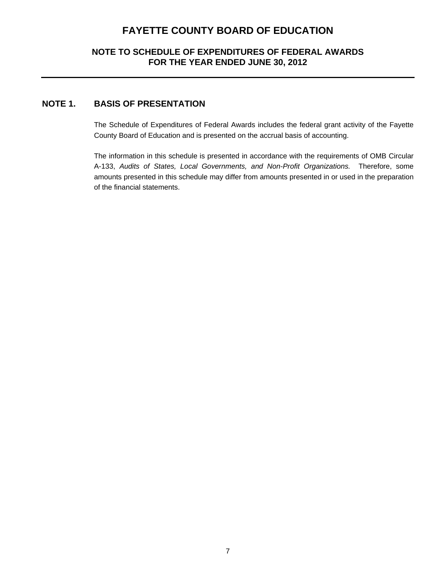#### **NOTE TO SCHEDULE OF EXPENDITURES OF FEDERAL AWARDS FOR THE YEAR ENDED JUNE 30, 2012**

### **NOTE 1. BASIS OF PRESENTATION**

The Schedule of Expenditures of Federal Awards includes the federal grant activity of the Fayette County Board of Education and is presented on the accrual basis of accounting.

The information in this schedule is presented in accordance with the requirements of OMB Circular A-133, *Audits of States, Local Governments, and Non-Profit Organizations.* Therefore, some amounts presented in this schedule may differ from amounts presented in or used in the preparation of the financial statements.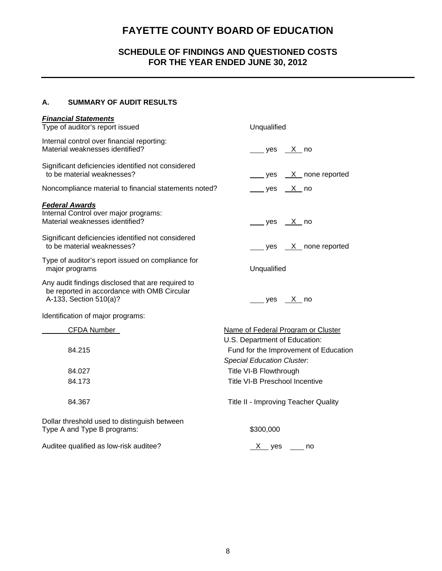### **SCHEDULE OF FINDINGS AND QUESTIONED COSTS FOR THE YEAR ENDED JUNE 30, 2012**

#### **A. SUMMARY OF AUDIT RESULTS**

| <b>Financial Statements</b>                                                                                                |                                       |  |
|----------------------------------------------------------------------------------------------------------------------------|---------------------------------------|--|
| Type of auditor's report issued                                                                                            | Unqualified                           |  |
| Internal control over financial reporting:<br>Material weaknesses identified?                                              | ___ yes __ <u>X _</u> no              |  |
| Significant deficiencies identified not considered<br>to be material weaknesses?                                           | ____ yes __X_ none reported           |  |
| Noncompliance material to financial statements noted?                                                                      | yes <u>X</u> no                       |  |
| <b>Federal Awards</b><br>Internal Control over major programs:<br>Material weaknesses identified?                          | $yes$ X no                            |  |
| Significant deficiencies identified not considered<br>to be material weaknesses?                                           | yes X none reported                   |  |
| Type of auditor's report issued on compliance for<br>major programs                                                        | Unqualified                           |  |
| Any audit findings disclosed that are required to<br>be reported in accordance with OMB Circular<br>A-133, Section 510(a)? | _yes __X_no                           |  |
| Identification of major programs:                                                                                          |                                       |  |
| CFDA Number                                                                                                                | Name of Federal Program or Cluster    |  |
|                                                                                                                            | U.S. Department of Education:         |  |
| 84.215                                                                                                                     | Fund for the Improvement of Education |  |
|                                                                                                                            | <b>Special Education Cluster.</b>     |  |
| 84.027                                                                                                                     | Title VI-B Flowthrough                |  |
| 84.173                                                                                                                     | <b>Title VI-B Preschool Incentive</b> |  |
| 84.367                                                                                                                     | Title II - Improving Teacher Quality  |  |
| Dollar threshold used to distinguish between<br>Type A and Type B programs:                                                | \$300,000                             |  |
| Auditee qualified as low-risk auditee?                                                                                     | $X$ yes ______ no                     |  |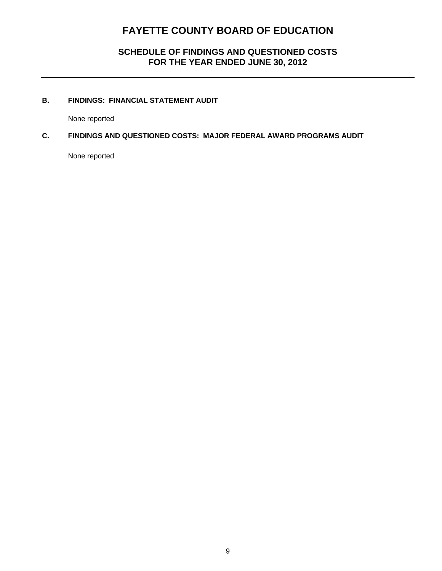### **SCHEDULE OF FINDINGS AND QUESTIONED COSTS FOR THE YEAR ENDED JUNE 30, 2012**

#### **B. FINDINGS: FINANCIAL STATEMENT AUDIT**

None reported

#### **C. FINDINGS AND QUESTIONED COSTS: MAJOR FEDERAL AWARD PROGRAMS AUDIT**

None reported